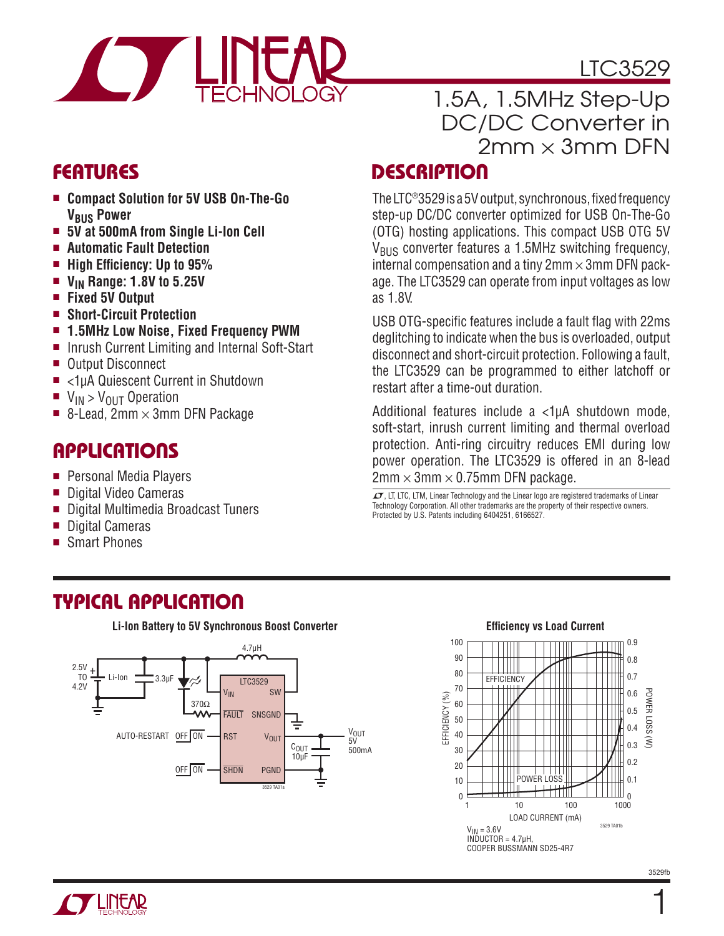

LTC3529

### **FEATURES**

- <sup>n</sup> **Compact Solution for 5V USB On-The-Go V<sub>BUS</sub> Power**
- 5V at 500mA from Single Li-Ion Cell
- Automatic Fault Detection
- $\blacksquare$  **High Efficiency: Up to 95%**
- V<sub>IN</sub> Range: 1.8V to 5.25V
- <sup>n</sup> **Fixed 5V Output**
- <sup>n</sup> **Short-Circuit Protection**
- $\blacksquare$  **1.5MHz Low Noise, Fixed Frequency PWM**
- Inrush Current Limiting and Internal Soft-Start
- Output Disconnect
- <1uA Quiescent Current in Shutdown
- $\blacksquare$  V<sub>IN</sub> > V<sub>OUT</sub> Operation
- $\blacksquare$  8-Lead, 2mm  $\times$  3mm DFN Package

## **APPLICATIONS**

- **Personal Media Players**
- Digital Video Cameras
- Digital Multimedia Broadcast Tuners
- Digital Cameras
- Smart Phones

# 1.5A, 1.5MHz Step-Up DC/DC Converter in  $2mm \times 3mm$  DFN

### **DESCRIPTION**

The LTC®3529 is a 5V output, synchronous, fixed frequency step-up DC/DC converter optimized for USB On-The-Go (OTG) hosting applications. This compact USB OTG 5V V<sub>BUS</sub> converter features a 1.5MHz switching frequency, internal compensation and a tiny  $2<sub>mm</sub> \times 3<sub>mm</sub>$  DFN package. The LTC3529 can operate from input voltages as low as 1.8V.

USB OTG-specific features include a fault flag with 22ms deglitching to indicate when the bus is overloaded, output disconnect and short-circuit protection. Following a fault, the LTC3529 can be programmed to either latchoff or restart after a time-out duration.

Additional features include a <1uA shutdown mode, soft-start, inrush current limiting and thermal overload protection. Anti-ring circuitry reduces EMI during low power operation. The LTC3529 is offered in an 8-lead  $2mm \times 3mm \times 0.75mm$  DFN package.

 $\sqrt{27}$ , LT, LTC, LTM, Linear Technology and the Linear logo are registered trademarks of Linear Technology Corporation. All other trademarks are the property of their respective owners. Protected by U.S. Patents including 6404251, 6166527.

### **TYPICAL APPLICATION**







1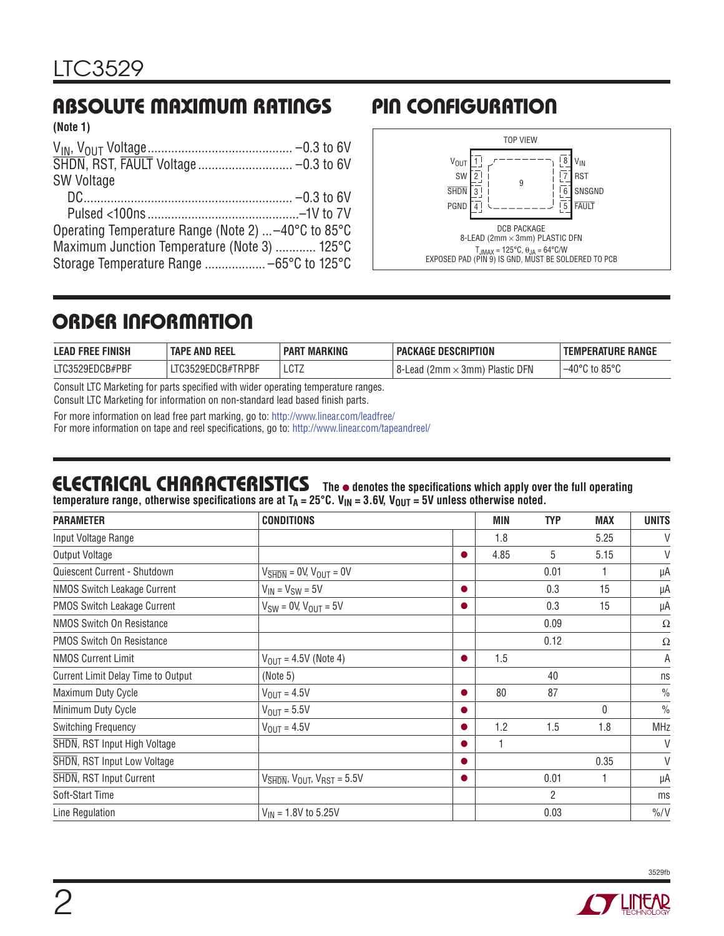#### **ABSOLUTE MAXIMUM RATINGS PIN CONFIGURATION (Note 1)**

| <b>SW Voltage</b>                                   |  |
|-----------------------------------------------------|--|
|                                                     |  |
|                                                     |  |
| Operating Temperature Range (Note 2)  -40°C to 85°C |  |
| Maximum Junction Temperature (Note 3)  125°C        |  |
|                                                     |  |
|                                                     |  |



### **ORDER INFORMATION**

| <b>LEAD FREE FINISH</b> | <b>TAPE AND REEL</b> | <b>PART MARKING</b> | <b>PACKAGE DESCRIPTION</b>               | <b>TEMPERATURE RANGE</b>           |
|-------------------------|----------------------|---------------------|------------------------------------------|------------------------------------|
| LTC3529EDCB#PBF         | LTC3529EDCB#TRPBF    | LCTZ                | Plastic DFN<br>8-Lead (2mm $\times$ 3mm) | $-40^{\circ}$ C to 85 $^{\circ}$ C |
| $\sim$                  |                      |                     |                                          |                                    |

Consult LTC Marketing for parts specified with wider operating temperature ranges.

Consult LTC Marketing for information on non-standard lead based finish parts.

For more information on lead free part marking, go to: http://www.linear.com/leadfree/ For more information on tape and reel specifications, go to: http://www.linear.com/tapeandreel/

# **ELECTRICAL CHARACTERISTICS** The  $\bullet$  denotes the specifications which apply over the full operating

temperature range, otherwise specifications are at T<sub>A</sub> = 25°C. V<sub>IN</sub> = 3.6V, V<sub>OUT</sub> = 5V unless otherwise noted.

| <b>PARAMETER</b>                   | <b>CONDITIONS</b>                                                         |           | <b>MIN</b> | <b>TYP</b>     | <b>MAX</b> | <b>UNITS</b>   |
|------------------------------------|---------------------------------------------------------------------------|-----------|------------|----------------|------------|----------------|
| Input Voltage Range                |                                                                           |           | 1.8        |                | 5.25       | V              |
| Output Voltage                     |                                                                           | $\bullet$ | 4.85       | 5              | 5.15       | $\vee$         |
| Quiescent Current - Shutdown       | $V_{\overline{\text{SHDN}}}$ = 0V, $V_{\text{OUT}}$ = 0V                  |           |            | 0.01           | 1          | μA             |
| <b>NMOS Switch Leakage Current</b> | $V_{IN} = V_{SW} = 5V$                                                    | $\bullet$ |            | 0.3            | 15         | μA             |
| PMOS Switch Leakage Current        | $V_{SW} = 0V$ , $V_{OUT} = 5V$                                            | ●         |            | 0.3            | 15         | μA             |
| <b>NMOS Switch On Resistance</b>   |                                                                           |           |            | 0.09           |            | $\Omega$       |
| <b>PMOS Switch On Resistance</b>   |                                                                           |           |            | 0.12           |            | Ω              |
| <b>NMOS Current Limit</b>          | $V_{\text{OUT}} = 4.5V$ (Note 4)                                          | $\bullet$ | 1.5        |                |            | Α              |
| Current Limit Delay Time to Output | (Note 5)                                                                  |           |            | 40             |            | ns             |
| Maximum Duty Cycle                 | $V_{OIII}$ = 4.5V                                                         | $\bullet$ | 80         | 87             |            | $\frac{0}{0}$  |
| Minimum Duty Cycle                 | $V_{\text{OUT}} = 5.5V$                                                   | $\bullet$ |            |                | 0          | $\frac{0}{0}$  |
| Switching Frequency                | $V_{OUIT} = 4.5V$                                                         | $\bullet$ | 1.2        | 1.5            | 1.8        | <b>MHz</b>     |
| SHDN, RST Input High Voltage       |                                                                           | $\bullet$ |            |                |            | V              |
| SHDN, RST Input Low Voltage        |                                                                           | $\bullet$ |            |                | 0.35       | V              |
| <b>SHDN, RST Input Current</b>     | $V_{\overline{\text{SHDN}}}$ , $V_{\text{OUT}}$ , $V_{\text{RST}} = 5.5V$ | $\bullet$ |            | 0.01           | 1          | μA             |
| Soft-Start Time                    |                                                                           |           |            | $\overline{2}$ |            | ms             |
| Line Regulation                    | $V_{IN}$ = 1.8V to 5.25V                                                  |           |            | 0.03           |            | $\frac{\%}{V}$ |

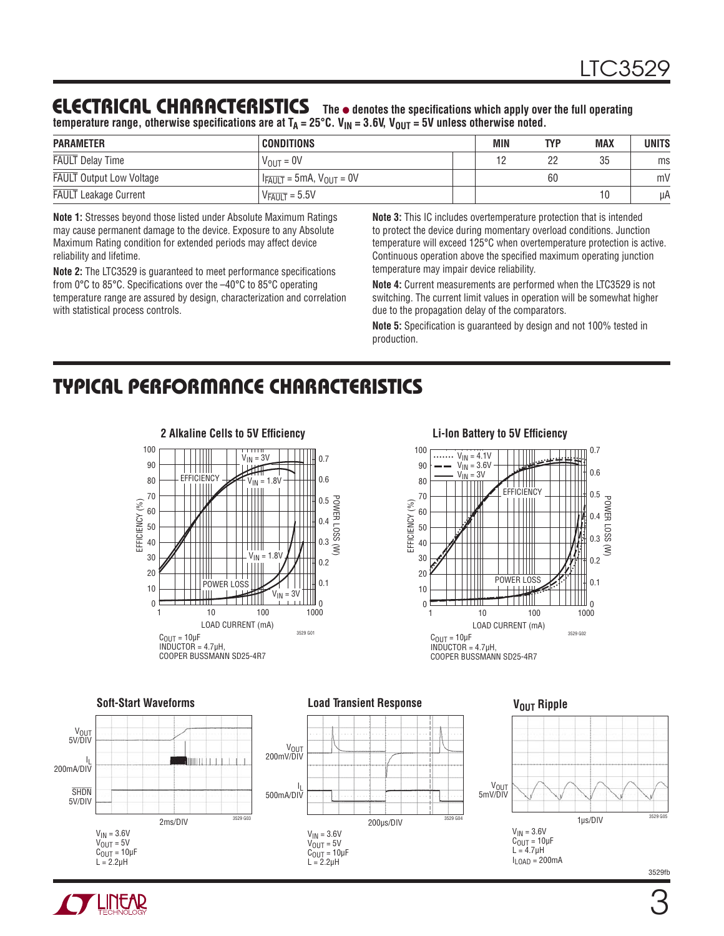### **ELECTRICAL CHARACTERISTICS** The  $\bullet$  denotes the specifications which apply over the full operating

temperature range, otherwise specifications are at T<sub>A</sub> = 25°C. V<sub>IN</sub> = 3.6V, V<sub>OUT</sub> = 5V unless otherwise noted.

| <b>PARAMETER</b>                | <b>CONDITIONS</b>                          | MIN | TYP | <b>MAX</b> | UNITS |
|---------------------------------|--------------------------------------------|-----|-----|------------|-------|
| <b>FAULT</b> Delay Time         | $V_{OIII} = 0V$                            |     | 22  | 35         | ms    |
| <b>FAULT</b> Output Low Voltage | $I_{\overline{FAULT}} = 5mA, V_{OUT} = 0V$ |     | 60  |            | mV    |
| <b>FAULT</b> Leakage Current    | $V_{\overline{FAULT}} = 5.5V$              |     |     |            | μA    |

**Note 1:** Stresses beyond those listed under Absolute Maximum Ratings may cause permanent damage to the device. Exposure to any Absolute Maximum Rating condition for extended periods may affect device reliability and lifetime.

**Note 2:** The LTC3529 is guaranteed to meet performance specifications from  $0^{\circ}$ C to 85 $^{\circ}$ C. Specifications over the  $-40^{\circ}$ C to 85 $^{\circ}$ C operating temperature range are assured by design, characterization and correlation with statistical process controls.

**Note 3:** This IC includes overtemperature protection that is intended to protect the device during momentary overload conditions. Junction temperature will exceed 125°C when overtemperature protection is active. Continuous operation above the specified maximum operating junction temperature may impair device reliability.

**Note 4:** Current measurements are performed when the LTC3529 is not switching. The current limit values in operation will be somewhat higher due to the propagation delay of the comparators.

**Note 5:** Specification is guaranteed by design and not 100% tested in production.

## **TYPICAL PERFORMANCE CHARACTERISTICS**





#### **Soft-Start Waveforms Load Transient Response V<sub>OUT</sub>** Ripple V<sub>OUT</sub><br>5V/DIV V<sub>OUT</sub><br>200mV/DIV l<sub>L</sub><br>200mA/DIV IIII I I **V<sub>OUT</sub>**  $\mathsf{l}_\mathsf{l}$ **SHDN** 5mV/DIV 500mA/DIV 5V/DIV 1μs/DIV 200μs/DIV 3529 G0 2ms/DIV  $V_{IN} = 3.6V$  $V_{IN} = 3.6V$  $V_{IN} = 3.6V$  $C_{\text{OUT}} = 10 \mu F$  $V_{\text{OUT}} = 5V$  $V_{OUT} = 5V$  $C_{\text{OUT}} = 10 \mu F$  $L = 4.7 \mu H$ C<sub>OUT</sub> = 10μF<br>L = 2.2μH  $I_{LOAD} = 200mA$  $L = 2.2$ uH 3529fb

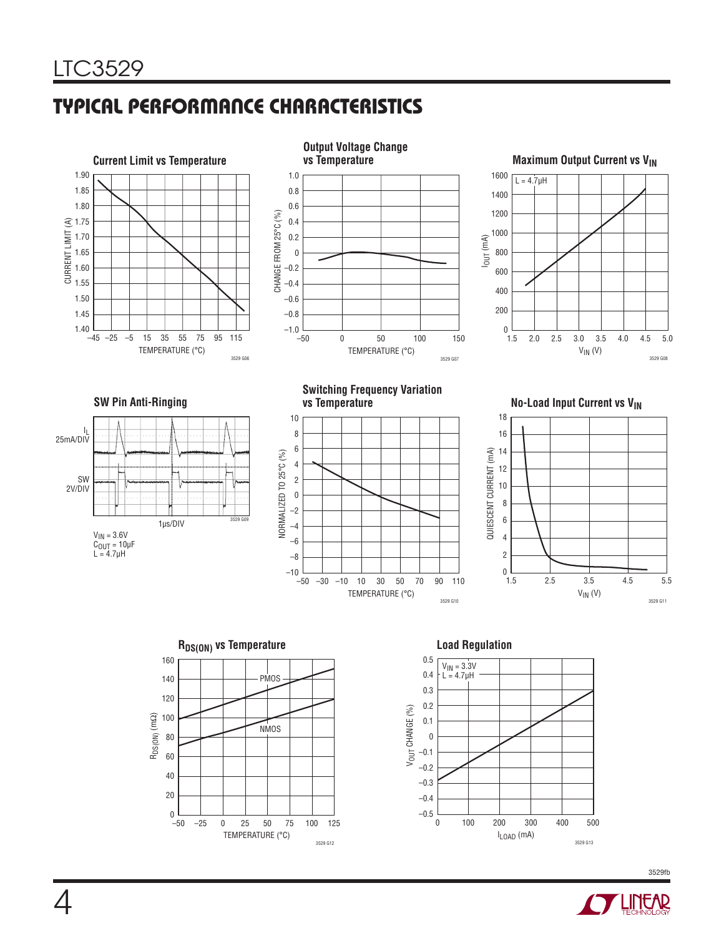# **TYPICAL PERFORMANCE CHARACTERISTICS**







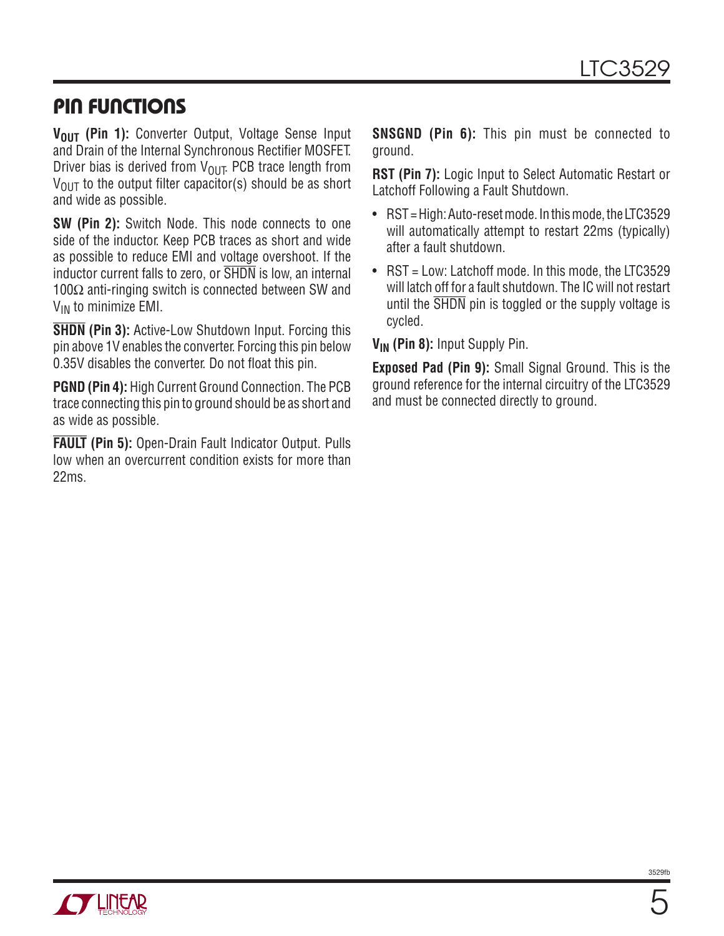### **PIN FUNCTIONS**

V<sub>OUT</sub> (Pin 1): Converter Output, Voltage Sense Input and Drain of the Internal Synchronous Rectifier MOSFET. Driver bias is derived from  $V_{OIII}$ . PCB trace length from  $V_{\text{OUT}}$  to the output filter capacitor(s) should be as short and wide as possible.

**SW (Pin 2):** Switch Node. This node connects to one side of the inductor. Keep PCB traces as short and wide as possible to reduce EMI and voltage overshoot. If the inductor current falls to zero, or SHDN is low, an internal  $100\Omega$  anti-ringing switch is connected between SW and V<sub>IN</sub> to minimize EMI.

**SHDN (Pin 3):** Active-Low Shutdown Input. Forcing this pin above 1V enables the converter. Forcing this pin below 0.35V disables the converter. Do not float this pin.

**PGND (Pin 4):** High Current Ground Connection. The PCB trace connecting this pin to ground should be as short and as wide as possible.

**FAULT (Pin 5):** Open-Drain Fault Indicator Output. Pulls low when an overcurrent condition exists for more than 22ms.

**SNSGND (Pin 6):** This pin must be connected to ground.

**RST (Pin 7):** Logic Input to Select Automatic Restart or Latchoff Following a Fault Shutdown.

- RST = High: Auto-reset mode. In this mode, the LTC3529 will automatically attempt to restart 22ms (typically) after a fault shutdown.
- RST = Low: Latchoff mode. In this mode, the LTC3529 will latch off for a fault shutdown. The IC will not restart until the SHDN pin is toggled or the supply voltage is cycled.

V<sub>IN</sub> (Pin 8): Input Supply Pin.

**Exposed Pad (Pin 9):** Small Signal Ground. This is the ground reference for the internal circuitry of the LTC3529 and must be connected directly to ground.

5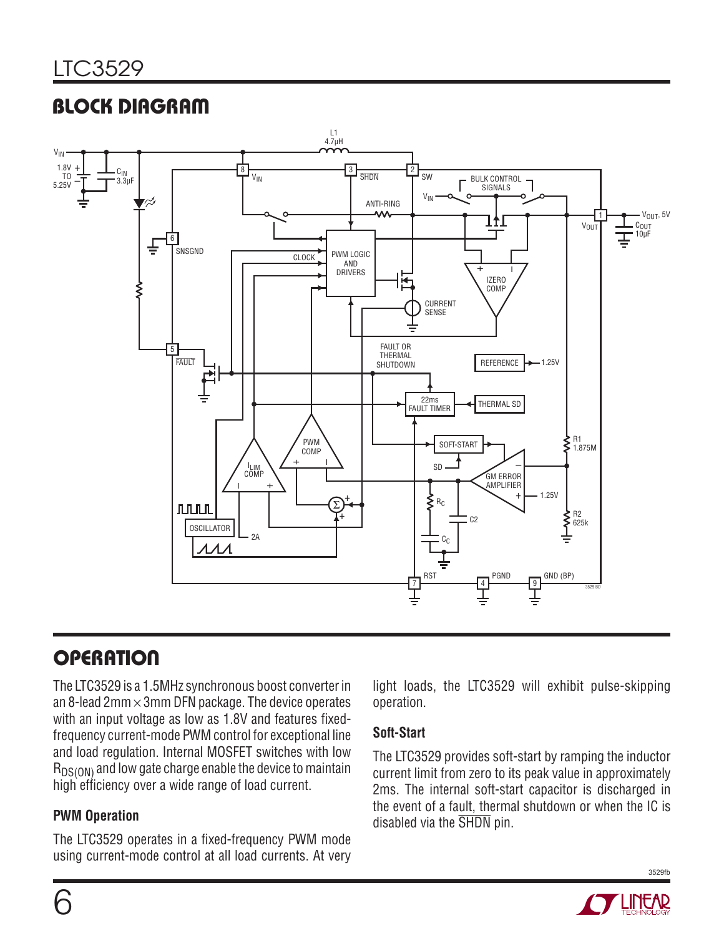# **BLOCK DIAGRAM**



# **OPERATION**

The LTC3529 is a 1.5MHz synchronous boost converter in an 8-lead  $2mm \times 3mm$  DFN package. The device operates with an input voltage as low as 1.8V and features fixedfrequency current-mode PWM control for exceptional line and load regulation. Internal MOSFET switches with low  $R_{DS(ON)}$  and low gate charge enable the device to maintain high efficiency over a wide range of load current.

#### **PWM Operation**

The LTC3529 operates in a fixed-frequency PWM mode using current-mode control at all load currents. At very light loads, the LTC3529 will exhibit pulse-skipping operation.

#### **Soft-Start**

The LTC3529 provides soft-start by ramping the inductor current limit from zero to its peak value in approximately 2ms. The internal soft-start capacitor is discharged in the event of a fault, thermal shutdown or when the IC is disabled via the SHDN pin.

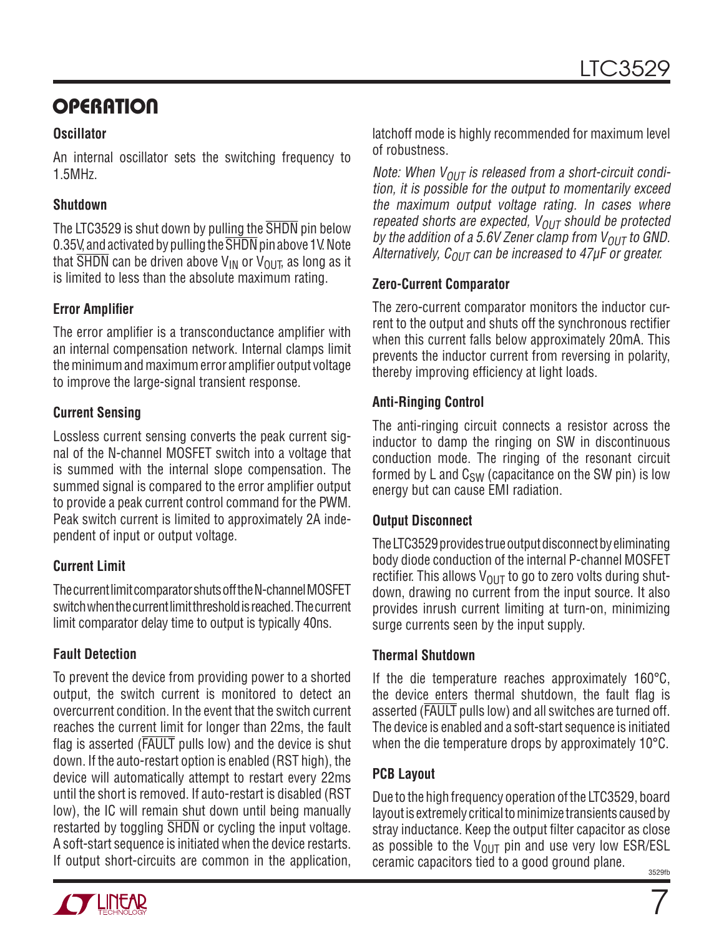# **OPERATION**

#### **Oscillator**

An internal oscillator sets the switching frequency to 1.5MHz.

#### **Shutdown**

The LTC3529 is shut down by pulling the SHDN pin below 0.35V, and activated by pulling the SHDN pin above 1V. Note that  $\overline{\text{SHDN}}$  can be driven above V<sub>IN</sub> or V<sub>OUT</sub>, as long as it is limited to less than the absolute maximum rating.

#### **Error Amplifier**

The error amplifier is a transconductance amplifier with an internal compensation network. Internal clamps limit the minimum and maximum error amplifier output voltage to improve the large-signal transient response.

#### **Current Sensing**

Lossless current sensing converts the peak current signal of the N-channel MOSFET switch into a voltage that is summed with the internal slope compensation. The summed signal is compared to the error amplifier output to provide a peak current control command for the PWM. Peak switch current is limited to approximately 2A independent of input or output voltage.

#### **Current Limit**

The current limit comparator shuts off the N-channel MOSFET switch when the current limit threshold is reached. The current limit comparator delay time to output is typically 40ns.

#### **Fault Detection**

To prevent the device from providing power to a shorted output, the switch current is monitored to detect an overcurrent condition. In the event that the switch current reaches the current limit for longer than 22ms, the fault flag is asserted ( $\overline{FAULT}$  pulls low) and the device is shut down. If the auto-restart option is enabled (RST high), the device will automatically attempt to restart every 22ms until the short is removed. If auto-restart is disabled (RST low), the IC will remain shut down until being manually restarted by toggling  $\overline{SHDN}$  or cycling the input voltage. A soft-start sequence is initiated when the device restarts. If output short-circuits are common in the application,



Note: When  $V_{OUT}$  is released from a short-circuit condition, it is possible for the output to momentarily exceed the maximum output voltage rating. In cases where repeated shorts are expected,  $V_{OUT}$  should be protected by the addition of a 5.6V Zener clamp from  $V_{OUT}$  to GND. Alternatively,  $C_{OUT}$  can be increased to 47 $\mu$ F or greater.

#### **Zero-Current Comparator**

The zero-current comparator monitors the inductor current to the output and shuts off the synchronous rectifier when this current falls below approximately 20mA. This prevents the inductor current from reversing in polarity, thereby improving efficiency at light loads.

#### **Anti-Ringing Control**

The anti-ringing circuit connects a resistor across the inductor to damp the ringing on SW in discontinuous conduction mode. The ringing of the resonant circuit formed by L and  $C_{SW}$  (capacitance on the SW pin) is low energy but can cause EMI radiation.

#### **Output Disconnect**

The LTC3529 provides true output disconnect by eliminating body diode conduction of the internal P-channel MOSFET rectifier. This allows  $V_{\text{OUT}}$  to go to zero volts during shutdown, drawing no current from the input source. It also provides inrush current limiting at turn-on, minimizing surge currents seen by the input supply.

#### **Thermal Shutdown**

If the die temperature reaches approximately 160°C, the device enters thermal shutdown, the fault flag is asserted (FAULT pulls low) and all switches are turned off. The device is enabled and a soft-start sequence is initiated when the die temperature drops by approximately 10°C.

### **PCB Layout**

3529fb Due to the high frequency operation of the LTC3529, board layout is extremely critical to minimize transients caused by stray inductance. Keep the output filter capacitor as close as possible to the  $V_{\text{OUT}}$  pin and use very low ESR/ESL ceramic capacitors tied to a good ground plane.

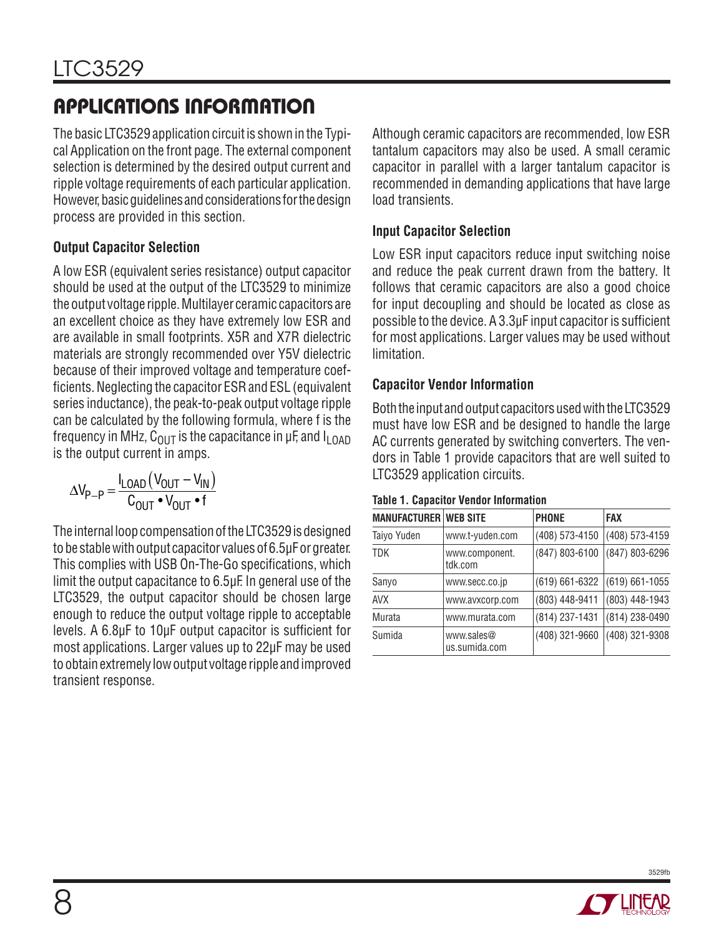# **APPLICATIONS INFORMATION**

The basic LTC3529 application circuit is shown in the Typical Application on the front page. The external component selection is determined by the desired output current and ripple voltage requirements of each particular application. However, basic guidelines and considerations for the design process are provided in this section.

#### **Output Capacitor Selection**

A low ESR (equivalent series resistance) output capacitor should be used at the output of the LTC3529 to minimize the output voltage ripple. Multilayer ceramic capacitors are an excellent choice as they have extremely low ESR and are available in small footprints. X5R and X7R dielectric materials are strongly recommended over Y5V dielectric because of their improved voltage and temperature coefficients. Neglecting the capacitor ESR and ESL (equivalent series inductance), the peak-to-peak output voltage ripple can be calculated by the following formula, where f is the frequency in MHz,  $C_{\Omega I T}$  is the capacitance in  $\mu$ F, and  $I_{L \Omega A D}$ is the output current in amps.

$$
\Delta V_{P-P} = \frac{I_{LOAD} (V_{OUT} - V_{IN})}{C_{OUT} \cdot V_{OUT} \cdot f}
$$

The internal loop compensation of the LTC3529 is designed to be stable with output capacitor values of 6.5μF or greater. This complies with USB On-The-Go specifications, which limit the output capacitance to 6.5μF. In general use of the LTC3529, the output capacitor should be chosen large enough to reduce the output voltage ripple to acceptable levels. A 6.8μF to 10μF output capacitor is sufficient for most applications. Larger values up to 22μF may be used to obtain extremely low output voltage ripple and improved transient response.

Although ceramic capacitors are recommended, low ESR tantalum capacitors may also be used. A small ceramic capacitor in parallel with a larger tantalum capacitor is recommended in demanding applications that have large load transients.

### **Input Capacitor Selection**

Low ESR input capacitors reduce input switching noise and reduce the peak current drawn from the battery. It follows that ceramic capacitors are also a good choice for input decoupling and should be located as close as possible to the device. A 3.3µF input capacitor is sufficient for most applications. Larger values may be used without limitation.

#### **Capacitor Vendor Information**

Both the input and output capacitors used with the LTC3529 must have low ESR and be designed to handle the large AC currents generated by switching converters. The vendors in Table 1 provide capacitors that are well suited to LTC3529 application circuits.

| <b>MANUFACTURER WEB SITE</b> |                             | <b>PHONE</b>       | <b>FAX</b>         |
|------------------------------|-----------------------------|--------------------|--------------------|
| Taiyo Yuden                  | www.t-yuden.com             | (408) 573-4150     | (408) 573-4159     |
| TDK                          | www.component.<br>tdk.com   | (847) 803-6100     | (847) 803-6296     |
| Sanyo                        | www.secc.co.jp              | $(619) 661 - 6322$ | $(619) 661 - 1055$ |
| AVX                          | www.avxcorp.com             | (803) 448-9411     | (803) 448-1943     |
| Murata                       | www.murata.com              | (814) 237-1431     | (814) 238-0490     |
| Sumida                       | www.sales@<br>us.sumida.com | (408) 321-9660     | (408) 321-9308     |

#### **Table 1. Capacitor Vendor Information**

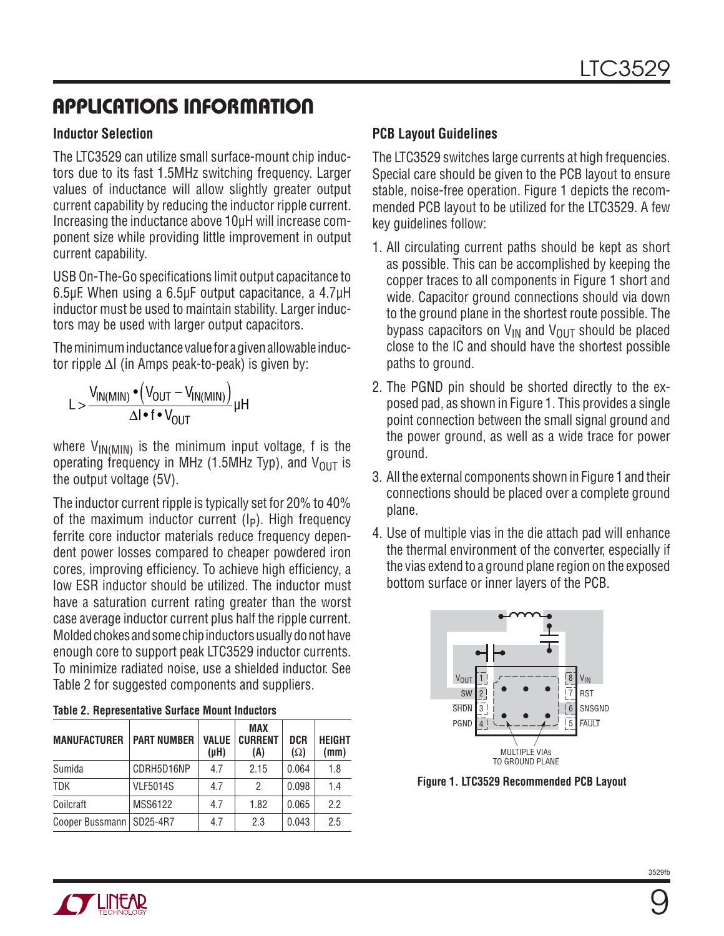# **APPLICATIONS INFORMATION**

#### **Inductor Selection**

The LTC3529 can utilize small surface-mount chip inductors due to its fast 1.5MHz switching frequency. Larger values of inductance will allow slightly greater output current capability by reducing the inductor ripple current. Increasing the inductance above 10μH will increase component size while providing little improvement in output current capability.

USB On-The-Go specifications limit output capacitance to 6.5μF. When using a 6.5μF output capacitance, a 4.7μH inductor must be used to maintain stability. Larger inductors may be used with larger output capacitors.

The minimum inductance value for a given allowable inductor ripple ΔI (in Amps peak-to-peak) is given by:

$$
L > \frac{V_{IN(MIN)} \cdot (V_{OUT} - V_{IN(MIN)})}{\Delta I \cdot f \cdot V_{OUT}} \mu H
$$

where  $V_{IN(MIN)}$  is the minimum input voltage, f is the operating frequency in MHz (1.5MHz Typ), and  $V_{\text{OUT}}$  is the output voltage (5V).

The inductor current ripple is typically set for 20% to 40% of the maximum inductor current  $(I_P)$ . High frequency ferrite core inductor materials reduce frequency dependent power losses compared to cheaper powdered iron cores, improving efficiency. To achieve high efficiency, a low ESR inductor should be utilized. The inductor must have a saturation current rating greater than the worst case average inductor current plus half the ripple current. Molded chokes and some chip inductors usually do not have enough core to support peak LTC3529 inductor currents. To minimize radiated noise, use a shielded inductor. See Table 2 for suggested components and suppliers.

| <b>MANUFACTURER</b>        | <b>PART NUMBER</b> | VALUE<br>$(\mu H)$ | <b>MAX</b><br><b>CURRENT</b><br>(A) | <b>DCR</b><br>$(\Omega)$ | <b>HEIGHT</b><br>(mm) |
|----------------------------|--------------------|--------------------|-------------------------------------|--------------------------|-----------------------|
| Sumida                     | CDRH5D16NP         | 4.7                | 2.15                                | 0.064                    | 1.8                   |
| <b>TDK</b>                 | <b>VLF5014S</b>    | 4.7                | 2                                   | 0.098                    | 1.4                   |
| Coilcraft                  | MSS6122            | 4.7                | 1.82                                | 0.065                    | 2.2                   |
| Cooper Bussmann   SD25-4R7 |                    | 4.7                | 2.3                                 | 0.043                    | 2.5                   |

#### **Table 2. Representative Surface Mount Inductors**

### **PCB Layout Guidelines**

The LTC3529 switches large currents at high frequencies. Special care should be given to the PCB layout to ensure stable, noise-free operation. Figure 1 depicts the recommended PCB layout to be utilized for the LTC3529. A few key guidelines follow:

- 1. All circulating current paths should be kept as short as possible. This can be accomplished by keeping the copper traces to all components in Figure 1 short and wide. Capacitor ground connections should via down to the ground plane in the shortest route possible. The bypass capacitors on  $V_{IN}$  and  $V_{OIII}$  should be placed close to the IC and should have the shortest possible paths to ground.
- 2. The PGND pin should be shorted directly to the exposed pad, as shown in Figure 1. This provides a single point connection between the small signal ground and the power ground, as well as a wide trace for power ground.
- 3. All the external components shown in Figure 1 and their connections should be placed over a complete ground plane.
- 4. Use of multiple vias in the die attach pad will enhance the thermal environment of the converter, especially if the vias extend to a ground plane region on the exposed bottom surface or inner layers of the PCB.



**Figure 1. LTC3529 Recommended PCB Layout**

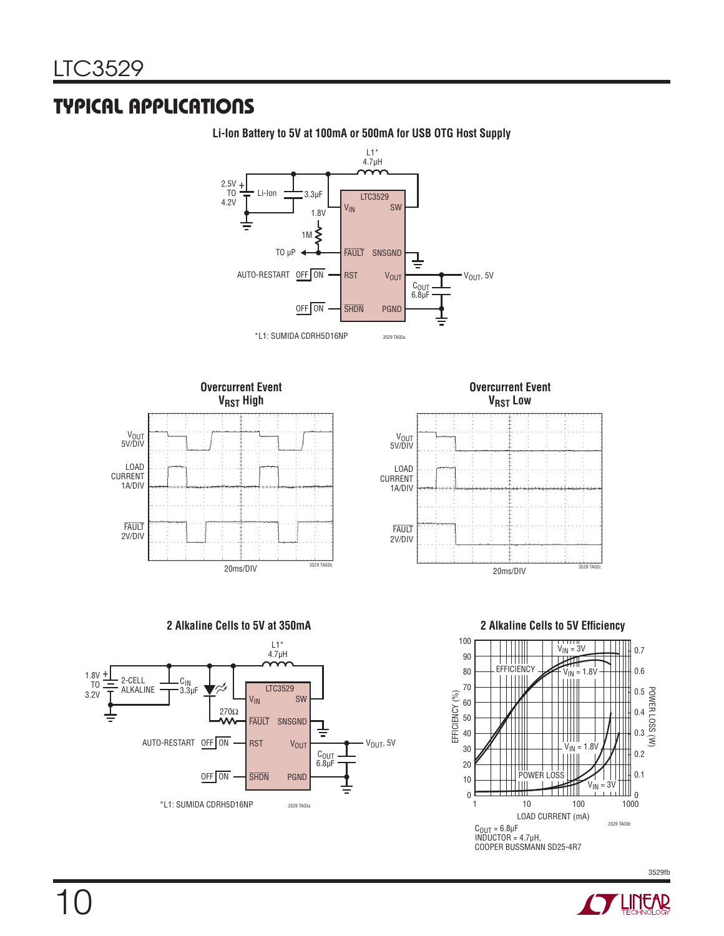### **TYPICAL APPLICATIONS**



**Li-Ion Battery to 5V at 100mA or 500mA for USB OTG Host Supply**

POWER LOSS (W)

0.7 0.6

0.5 0.4 0.3 0.2



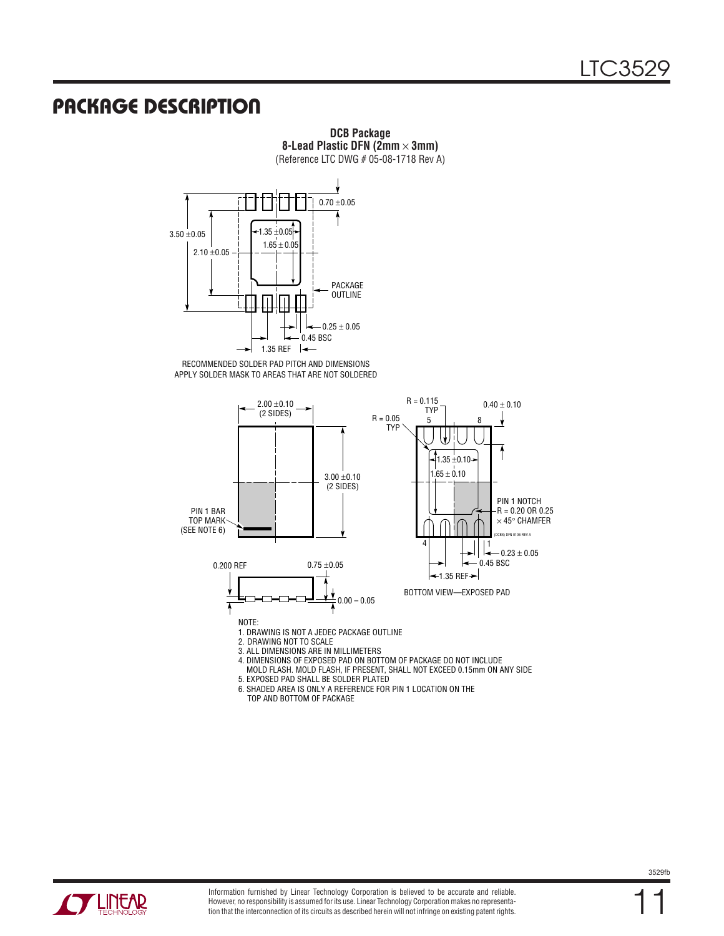### **PACKAGE DESCRIPTION**

**8-Lead Plastic DFN (2mm** × **3mm)** (Reference LTC DWG # 05-08-1718 Rev A)  $0.70 \pm 0.05$  $-1.35 + 0.05 +$  $3.50 + 0.05$  $1.65 \pm 0.05$  $2.10 \pm 0.05$ PACKAGE OUTLINE  $-0.25 \pm 0.05$ 0.45 BSC 1.35 REF ╶├╾ RECOMMENDED SOLDER PAD PITCH AND DIMENSIONS APPLY SOLDER MASK TO AREAS THAT ARE NOT SOLDERED  $R = 0.115$  $2.00 \pm 0.10$  $0.40 \pm 0.10$ (2 SIDES) TYP<br>5  $R = 0.05$ 5 8 TYP  $\downarrow$  $\frac{1}{1}$ 1.35  $\pm$ 0.10→  $1.65 \pm 0.10$  $3.00 \pm 0.10$ (2 SIDES) PIN 1 NOTCH  $-R = 0.20$  OR 0.25 PIN 1 BAR TOP MARK  $\times$  45° CHAMFER (SEE NOTE 6) 106 RFV A 4 | | | | | 1  $-0.23 \pm 0.05$ 0.45 BSC  $0.75 \pm 0.05$ 0.200 REF  $-1.35$  REF $\rightarrow$ BOTTOM VIEW—EXPOSED PAD Ŋ  $0.00 - 0.05$ ᠯ NOTE: 1. DRAWING IS NOT A JEDEC PACKAGE OUTLINE 2. DRAWING NOT TO SCALE 3. ALL DIMENSIONS ARE IN MILLIMETERS 4. DIMENSIONS OF EXPOSED PAD ON BOTTOM OF PACKAGE DO NOT INCLUDE MOLD FLASH. MOLD FLASH, IF PRESENT, SHALL NOT EXCEED 0.15mm ON ANY SIDE 5. EXPOSED PAD SHALL BE SOLDER PLATED 6. SHADED AREA IS ONLY A REFERENCE FOR PIN 1 LOCATION ON THE

**DCB Package**

TOP AND BOTTOM OF PACKAGE



11